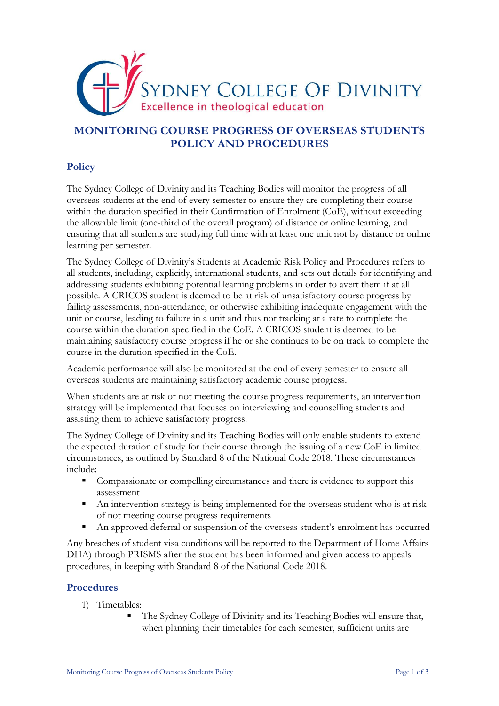

## **MONITORING COURSE PROGRESS OF OVERSEAS STUDENTS POLICY AND PROCEDURES**

## **Policy**

The Sydney College of Divinity and its Teaching Bodies will monitor the progress of all overseas students at the end of every semester to ensure they are completing their course within the duration specified in their Confirmation of Enrolment (CoE), without exceeding the allowable limit (one-third of the overall program) of distance or online learning, and ensuring that all students are studying full time with at least one unit not by distance or online learning per semester.

The Sydney College of Divinity's Students at Academic Risk Policy and Procedures refers to all students, including, explicitly, international students, and sets out details for identifying and addressing students exhibiting potential learning problems in order to avert them if at all possible. A CRICOS student is deemed to be at risk of unsatisfactory course progress by failing assessments, non-attendance, or otherwise exhibiting inadequate engagement with the unit or course, leading to failure in a unit and thus not tracking at a rate to complete the course within the duration specified in the CoE. A CRICOS student is deemed to be maintaining satisfactory course progress if he or she continues to be on track to complete the course in the duration specified in the CoE.

Academic performance will also be monitored at the end of every semester to ensure all overseas students are maintaining satisfactory academic course progress.

When students are at risk of not meeting the course progress requirements, an intervention strategy will be implemented that focuses on interviewing and counselling students and assisting them to achieve satisfactory progress.

The Sydney College of Divinity and its Teaching Bodies will only enable students to extend the expected duration of study for their course through the issuing of a new CoE in limited circumstances, as outlined by Standard 8 of the National Code 2018. These circumstances include:

- Compassionate or compelling circumstances and there is evidence to support this assessment
- An intervention strategy is being implemented for the overseas student who is at risk of not meeting course progress requirements
- An approved deferral or suspension of the overseas student's enrolment has occurred

Any breaches of student visa conditions will be reported to the Department of Home Affairs DHA) through PRISMS after the student has been informed and given access to appeals procedures, in keeping with Standard 8 of the National Code 2018.

## **Procedures**

- 1) Timetables:
	- The Sydney College of Divinity and its Teaching Bodies will ensure that, when planning their timetables for each semester, sufficient units are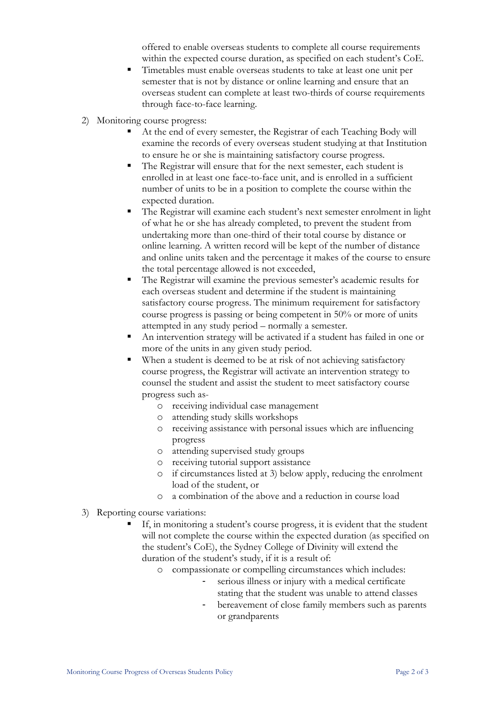offered to enable overseas students to complete all course requirements within the expected course duration, as specified on each student's CoE.

- Timetables must enable overseas students to take at least one unit per semester that is not by distance or online learning and ensure that an overseas student can complete at least two-thirds of course requirements through face-to-face learning.
- 2) Monitoring course progress:
	- At the end of every semester, the Registrar of each Teaching Body will examine the records of every overseas student studying at that Institution to ensure he or she is maintaining satisfactory course progress.
	- The Registrar will ensure that for the next semester, each student is enrolled in at least one face-to-face unit, and is enrolled in a sufficient number of units to be in a position to complete the course within the expected duration.
	- The Registrar will examine each student's next semester enrolment in light of what he or she has already completed, to prevent the student from undertaking more than one-third of their total course by distance or online learning. A written record will be kept of the number of distance and online units taken and the percentage it makes of the course to ensure the total percentage allowed is not exceeded,
	- The Registrar will examine the previous semester's academic results for each overseas student and determine if the student is maintaining satisfactory course progress. The minimum requirement for satisfactory course progress is passing or being competent in 50% or more of units attempted in any study period – normally a semester.
	- An intervention strategy will be activated if a student has failed in one or more of the units in any given study period.
	- When a student is deemed to be at risk of not achieving satisfactory course progress, the Registrar will activate an intervention strategy to counsel the student and assist the student to meet satisfactory course progress such as
		- o receiving individual case management
		- o attending study skills workshops
		- o receiving assistance with personal issues which are influencing progress
		- o attending supervised study groups
		- o receiving tutorial support assistance
		- o if circumstances listed at 3) below apply, reducing the enrolment load of the student, or
		- o a combination of the above and a reduction in course load
- 3) Reporting course variations:
	- If, in monitoring a student's course progress, it is evident that the student will not complete the course within the expected duration (as specified on the student's CoE), the Sydney College of Divinity will extend the duration of the student's study, if it is a result of:
		- o compassionate or compelling circumstances which includes:
			- serious illness or injury with a medical certificate stating that the student was unable to attend classes
			- bereavement of close family members such as parents or grandparents